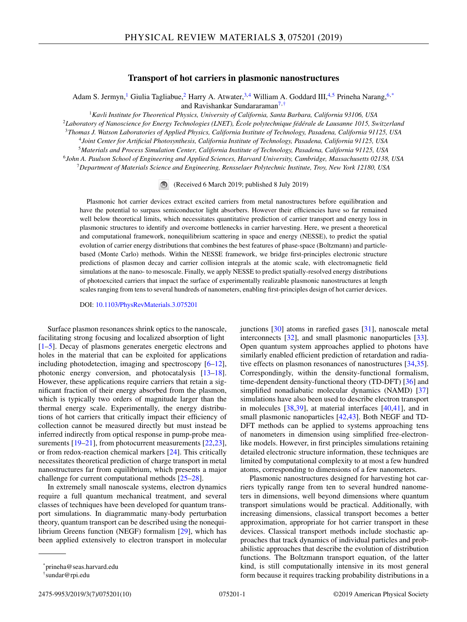# **Transport of hot carriers in plasmonic nanostructures**

Adam S. Jermyn,<sup>1</sup> Giulia Tagliabue,<sup>2</sup> Harry A. Atwater,<sup>3,4</sup> William A. Goddard III,<sup>4,5</sup> Prineha Narang,<sup>6,\*</sup> and Ravishankar Sundararaman<sup>7,†</sup>

*Kavli Institute for Theoretical Physics, University of California, Santa Barbara, California 93106, USA Laboratory of Nanoscience for Energy Technologies (LNET), École polytechnique fédérale de Lausanne 1015, Switzerland Thomas J. Watson Laboratories of Applied Physics, California Institute of Technology, Pasadena, California 91125, USA Joint Center for Artificial Photosynthesis, California Institute of Technology, Pasadena, California 91125, USA Materials and Process Simulation Center, California Institute of Technology, Pasadena, California 91125, USA John A. Paulson School of Engineering and Applied Sciences, Harvard University, Cambridge, Massachusetts 02138, USA*

<sup>7</sup>*Department of Materials Science and Engineering, Rensselaer Polytechnic Institute, Troy, New York 12180, USA*

(Received 6 March 2019; published 8 July 2019)

Plasmonic hot carrier devices extract excited carriers from metal nanostructures before equilibration and have the potential to surpass semiconductor light absorbers. However their efficiencies have so far remained well below theoretical limits, which necessitates quantitative prediction of carrier transport and energy loss in plasmonic structures to identify and overcome bottlenecks in carrier harvesting. Here, we present a theoretical and computational framework, nonequilibrium scattering in space and energy (NESSE), to predict the spatial evolution of carrier energy distributions that combines the best features of phase-space (Boltzmann) and particlebased (Monte Carlo) methods. Within the NESSE framework, we bridge first-principles electronic structure predictions of plasmon decay and carrier collision integrals at the atomic scale, with electromagnetic field simulations at the nano- to mesoscale. Finally, we apply NESSE to predict spatially-resolved energy distributions of photoexcited carriers that impact the surface of experimentally realizable plasmonic nanostructures at length scales ranging from tens to several hundreds of nanometers, enabling first-principles design of hot carrier devices.

DOI: [10.1103/PhysRevMaterials.3.075201](https://doi.org/10.1103/PhysRevMaterials.3.075201)

Surface plasmon resonances shrink optics to the nanoscale, facilitating strong focusing and localized absorption of light [\[1–5\]](#page-8-0). Decay of plasmons generates energetic electrons and holes in the material that can be exploited for applications including photodetection, imaging and spectroscopy [\[6–12\]](#page-8-0), photonic energy conversion, and photocatalysis [\[13–18\]](#page-8-0). However, these applications require carriers that retain a significant fraction of their energy absorbed from the plasmon, which is typically two orders of magnitude larger than the thermal energy scale. Experimentally, the energy distributions of hot carriers that critically impact their efficiency of collection cannot be measured directly but must instead be inferred indirectly from optical response in pump-probe mea-surements [\[19–21\]](#page-8-0), from photocurrent measurements [\[22,23\]](#page-8-0), or from redox-reaction chemical markers [\[24\]](#page-8-0). This critically necessitates theoretical prediction of charge transport in metal nanostructures far from equilibrium, which presents a major challenge for current computational methods [\[25–28\]](#page-8-0).

In extremely small nanoscale systems, electron dynamics require a full quantum mechanical treatment, and several classes of techniques have been developed for quantum transport simulations. In diagrammatic many-body perturbation theory, quantum transport can be described using the nonequilibrium Greens function (NEGF) formalism [\[29\]](#page-8-0), which has been applied extensively to electron transport in molecular junctions [\[30\]](#page-8-0) atoms in rarefied gases [\[31\]](#page-8-0), nanoscale metal interconnects [\[32\]](#page-8-0), and small plasmonic nanoparticles [\[33\]](#page-8-0). Open quantum system approaches applied to photons have similarly enabled efficient prediction of retardation and radiative effects on plasmon resonances of nanostructures [\[34,35\]](#page-8-0). Correspondingly, within the density-functional formalism, time-dependent density-functional theory (TD-DFT) [\[36\]](#page-8-0) and simplified nonadiabatic molecular dynamics (NAMD) [\[37\]](#page-8-0) simulations have also been used to describe electron transport in molecules [\[38,39\]](#page-8-0), at material interfaces [\[40,41\]](#page-8-0), and in small plasmonic nanoparticles [\[42,43\]](#page-8-0). Both NEGF and TD-DFT methods can be applied to systems approaching tens of nanometers in dimension using simplified free-electronlike models. However, in first principles simulations retaining detailed electronic structure information, these techniques are limited by computational complexity to at most a few hundred atoms, corresponding to dimensions of a few nanometers.

Plasmonic nanostructures designed for harvesting hot carriers typically range from ten to several hundred nanometers in dimensions, well beyond dimensions where quantum transport simulations would be practical. Additionally, with increasing dimensions, classical transport becomes a better approximation, appropriate for hot carrier transport in these devices. Classical transport methods include stochastic approaches that track dynamics of individual particles and probabilistic approaches that describe the evolution of distribution functions. The Boltzmann transport equation, of the latter kind, is still computationally intensive in its most general form because it requires tracking probability distributions in a

<sup>\*</sup>prineha@seas.harvard.edu

<sup>†</sup>sundar@rpi.edu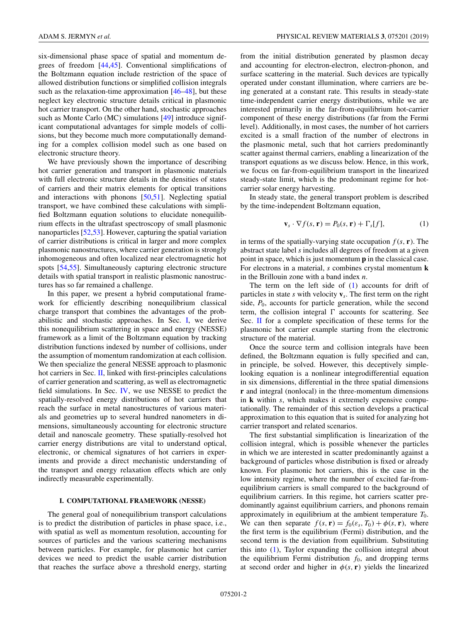<span id="page-1-0"></span>six-dimensional phase space of spatial and momentum degrees of freedom [\[44,45\]](#page-8-0). Conventional simplifications of the Boltzmann equation include restriction of the space of allowed distribution functions or simplified collision integrals such as the relaxation-time approximation [\[46–48\]](#page-9-0), but these neglect key electronic structure details critical in plasmonic hot carrier transport. On the other hand, stochastic approaches such as Monte Carlo (MC) simulations [\[49\]](#page-9-0) introduce significant computational advantages for simple models of collisions, but they become much more computationally demanding for a complex collision model such as one based on electronic structure theory.

We have previously shown the importance of describing hot carrier generation and transport in plasmonic materials with full electronic structure details in the densities of states of carriers and their matrix elements for optical transitions and interactions with phonons [\[50,51\]](#page-9-0). Neglecting spatial transport, we have combined these calculations with simplified Boltzmann equation solutions to elucidate nonequilibrium effects in the ultrafast spectroscopy of small plasmonic nanoparticles [\[52,53\]](#page-9-0). However, capturing the spatial variation of carrier distributions is critical in larger and more complex plasmonic nanostructures, where carrier generation is strongly inhomogeneous and often localized near electromagnetic hot spots [\[54,55\]](#page-9-0). Simultaneously capturing electronic structure details with spatial transport in realistic plasmonic nanostructures has so far remained a challenge.

In this paper, we present a hybrid computational framework for efficiently describing nonequilibrium classical charge transport that combines the advantages of the probabilistic and stochastic approaches. In Sec. I, we derive this nonequilibrium scattering in space and energy (NESSE) framework as a limit of the Boltzmann equation by tracking distribution functions indexed by number of collisions, under the assumption of momentum randomization at each collision. We then specialize the general NESSE approach to plasmonic hot carriers in Sec. [II,](#page-3-0) linked with first-principles calculations of carrier generation and scattering, as well as electromagnetic field simulations. In Sec. [IV,](#page-5-0) we use NESSE to predict the spatially-resolved energy distributions of hot carriers that reach the surface in metal nanostructures of various materials and geometries up to several hundred nanometers in dimensions, simultaneously accounting for electronic structure detail and nanoscale geometry. These spatially-resolved hot carrier energy distributions are vital to understand optical, electronic, or chemical signatures of hot carriers in experiments and provide a direct mechanistic understanding of the transport and energy relaxation effects which are only indirectly measurable experimentally.

### **I. COMPUTATIONAL FRAMEWORK (NESSE)**

The general goal of nonequilibrium transport calculations is to predict the distribution of particles in phase space, i.e., with spatial as well as momentum resolution, accounting for sources of particles and the various scattering mechanisms between particles. For example, for plasmonic hot carrier devices we need to predict the usable carrier distribution that reaches the surface above a threshold energy, starting from the initial distribution generated by plasmon decay and accounting for electron-electron, electron-phonon, and surface scattering in the material. Such devices are typically operated under constant illumination, where carriers are being generated at a constant rate. This results in steady-state time-independent carrier energy distributions, while we are interested primarily in the far-from-equilibrium hot-carrier component of these energy distributions (far from the Fermi level). Additionally, in most cases, the number of hot carriers excited is a small fraction of the number of electrons in the plasmonic metal, such that hot carriers predominantly scatter against thermal carriers, enabling a linearization of the transport equations as we discuss below. Hence, in this work, we focus on far-from-equilibrium transport in the linearized steady-state limit, which is the predominant regime for hotcarrier solar energy harvesting.

In steady state, the general transport problem is described by the time-independent Boltzmann equation,

$$
\mathbf{v}_s \cdot \nabla f(s, \mathbf{r}) = P_0(s, \mathbf{r}) + \Gamma_s[f], \tag{1}
$$

in terms of the spatially-varying state occupation  $f(s, \mathbf{r})$ . The abstract state label *s* includes all degrees of freedom at a given point in space, which is just momentum **p** in the classical case. For electrons in a material, *s* combines crystal momentum **k** in the Brillouin zone with a band index *n*.

The term on the left side of (1) accounts for drift of particles in state  $s$  with velocity  $\mathbf{v}_s$ . The first term on the right side,  $P_0$ , accounts for particle generation, while the second term, the collision integral  $\Gamma$  accounts for scattering. See Sec. [II](#page-3-0) for a complete specification of these terms for the plasmonic hot carrier example starting from the electronic structure of the material.

Once the source term and collision integrals have been defined, the Boltzmann equation is fully specified and can, in principle, be solved. However, this deceptively simplelooking equation is a nonlinear integrodifferential equation in six dimensions, differential in the three spatial dimensions **r** and integral (nonlocal) in the three-momentum dimensions in **k** within *s*, which makes it extremely expensive computationally. The remainder of this section develops a practical approximation to this equation that is suited for analyzing hot carrier transport and related scenarios.

The first substantial simplification is linearization of the collision integral, which is possible whenever the particles in which we are interested in scatter predominantly against a background of particles whose distribution is fixed or already known. For plasmonic hot carriers, this is the case in the low intensity regime, where the number of excited far-fromequilibrium carriers is small compared to the background of equilibrium carriers. In this regime, hot carriers scatter predominantly against equilibrium carriers, and phonons remain approximately in equilibrium at the ambient temperature *T*0. We can then separate  $f(s, \mathbf{r}) = f_0(\varepsilon_s, T_0) + \phi(s, \mathbf{r})$ , where the first term is the equilibrium (Fermi) distribution, and the second term is the deviation from equilibrium. Substituting this into (1), Taylor expanding the collision integral about the equilibrium Fermi distribution  $f_0$ , and dropping terms at second order and higher in  $\phi(s, \mathbf{r})$  yields the linearized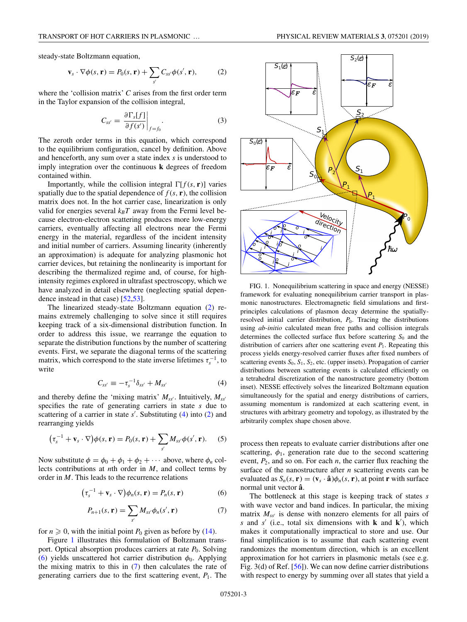<span id="page-2-0"></span>steady-state Boltzmann equation,

$$
\mathbf{v}_s \cdot \nabla \phi(s, \mathbf{r}) = P_0(s, \mathbf{r}) + \sum_{s'} C_{ss'} \phi(s', \mathbf{r}), \tag{2}
$$

where the 'collision matrix' *C* arises from the first order term in the Taylor expansion of the collision integral,

$$
C_{ss'} = \left. \frac{\partial \Gamma_s[f]}{\partial f(s')} \right|_{f=f_0}.
$$
 (3)

The zeroth order terms in this equation, which correspond to the equilibrium configuration, cancel by definition. Above and henceforth, any sum over a state index *s* is understood to imply integration over the continuous **k** degrees of freedom contained within.

Importantly, while the collision integral  $\Gamma[f(s, r)]$  varies spatially due to the spatial dependence of  $f(s, r)$ , the collision matrix does not. In the hot carrier case, linearization is only valid for energies several  $k_B T$  away from the Fermi level because electron-electron scattering produces more low-energy carriers, eventually affecting all electrons near the Fermi energy in the material, regardless of the incident intensity and initial number of carriers. Assuming linearity (inherently an approximation) is adequate for analyzing plasmonic hot carrier devices, but retaining the nonlinearity is important for describing the thermalized regime and, of course, for highintensity regimes explored in ultrafast spectroscopy, which we have analyzed in detail elsewhere (neglecting spatial dependence instead in that case) [\[52,53\]](#page-9-0).

The linearized steady-state Boltzmann equation (2) remains extremely challenging to solve since it still requires keeping track of a six-dimensional distribution function. In order to address this issue, we rearrange the equation to separate the distribution functions by the number of scattering events. First, we separate the diagonal terms of the scattering matrix, which correspond to the state inverse lifetimes  $\tau_{s}^{-1}$ , to write

$$
C_{ss'} \equiv -\tau_s^{-1} \delta_{ss'} + M_{ss'} \tag{4}
$$

and thereby define the 'mixing matrix'  $M_{ss'}$ . Intuitively,  $M_{ss'}$ specifies the rate of generating carriers in state *s* due to scattering of a carrier in state *s* . Substituting (4) into (2) and rearranging yields

$$
(\tau_s^{-1} + \mathbf{v}_s \cdot \nabla)\phi(s, \mathbf{r}) = P_0(s, \mathbf{r}) + \sum_{s'} M_{ss'} \phi(s', \mathbf{r}). \tag{5}
$$

Now substitute  $\phi = \phi_0 + \phi_1 + \phi_2 + \cdots$  above, where  $\phi_n$  collects contributions at *n*th order in *M*, and collect terms by order in *M*. This leads to the recurrence relations

$$
(\tau_s^{-1} + \mathbf{v}_s \cdot \nabla) \phi_n(s, \mathbf{r}) = P_n(s, \mathbf{r})
$$
 (6)

$$
P_{n+1}(s,\mathbf{r})=\sum_{s'}M_{ss'}\phi_n(s',\mathbf{r})\tag{7}
$$

for  $n \geqslant 0$ , with the initial point  $P_0$  given as before by [\(14\)](#page-3-0).

Figure 1 illustrates this formulation of Boltzmann transport. Optical absorption produces carriers at rate  $P_0$ . Solving (6) yields unscattered hot carrier distribution  $\phi_0$ . Applying the mixing matrix to this in (7) then calculates the rate of generating carriers due to the first scattering event,  $P_1$ . The



FIG. 1. Nonequilibrium scattering in space and energy (NESSE) framework for evaluating nonequilibrium carrier transport in plasmonic nanostructures. Electromagnetic field simulations and firstprinciples calculations of plasmon decay determine the spatiallyresolved initial carrier distribution,  $P_0$ . Tracing the distributions using *ab-initio* calculated mean free paths and collision integrals determines the collected surface flux before scattering  $S_0$  and the distribution of carriers after one scattering event  $P_1$ . Repeating this process yields energy-resolved carrier fluxes after fixed numbers of scattering events  $S_0$ ,  $S_1$ ,  $S_2$ , etc. (upper insets). Propagation of carrier distributions between scattering events is calculated efficiently on a tetrahedral discretization of the nanostructure geometry (bottom inset). NESSE effectively solves the linearized Boltzmann equation simultaneously for the spatial and energy distributions of carriers, assuming momentum is randomized at each scattering event, in structures with arbitrary geometry and topology, as illustrated by the arbitrarily complex shape chosen above.

process then repeats to evaluate carrier distributions after one scattering,  $\phi_1$ , generation rate due to the second scattering event,  $P_2$ , and so on. For each  $n$ , the carrier flux reaching the surface of the nanostructure after *n* scattering events can be evaluated as  $S_n(s, r) = (\mathbf{v}_s \cdot \hat{\mathbf{a}}) \phi_n(s, r)$ , at point **r** with surface normal unit vector **aˆ**.

The bottleneck at this stage is keeping track of states *s* with wave vector and band indices. In particular, the mixing matrix  $M_{ss'}$  is dense with nonzero elements for all pairs of *s* and *s* (i.e., total six dimensions with **k** and **k** ), which makes it computationally impractical to store and use. Our final simplification is to assume that each scattering event randomizes the momentum direction, which is an excellent approximation for hot carriers in plasmonic metals (see e.g. Fig. 3(d) of Ref. [\[56\]](#page-9-0)). We can now define carrier distributions with respect to energy by summing over all states that yield a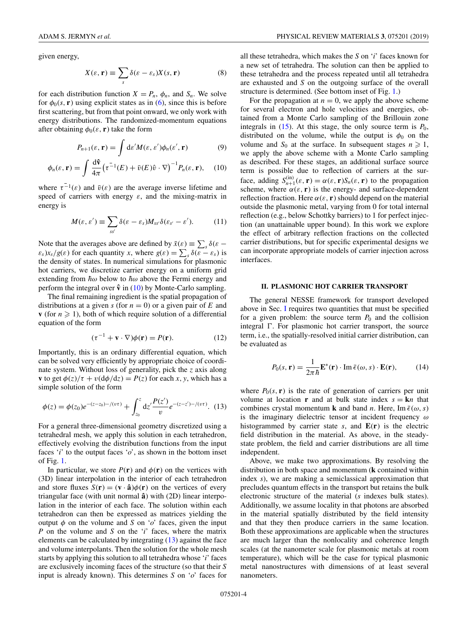<span id="page-3-0"></span>given energy,

$$
X(\varepsilon, \mathbf{r}) \equiv \sum_{s} \delta(\varepsilon - \varepsilon_{s}) X(s, \mathbf{r})
$$
 (8)

for each distribution function  $X = P_n$ ,  $\phi_n$ , and  $S_n$ . We solve for  $\phi_0(s, r)$  using explicit states as in [\(6\)](#page-2-0), since this is before first scattering, but from that point onward, we only work with energy distributions. The randomized-momentum equations after obtaining  $\phi_0(\varepsilon, \mathbf{r})$  take the form

$$
P_{n+1}(\varepsilon, \mathbf{r}) = \int \mathrm{d}\varepsilon' M(\varepsilon, \varepsilon') \phi_n(\varepsilon', \mathbf{r}) \tag{9}
$$

$$
\phi_n(\varepsilon, \mathbf{r}) = \int \frac{d\hat{\mathbf{v}}}{4\pi} \left( \tau^{-1}(E) + \bar{v}(E)\hat{v} \cdot \nabla \right)^{-1} P_n(\varepsilon, \mathbf{r}), \quad (10)
$$

where  $\tau^{-1}(\varepsilon)$  and  $\bar{v}(\varepsilon)$  are the average inverse lifetime and speed of carriers with energy  $\varepsilon$ , and the mixing-matrix in energy is

$$
M(\varepsilon,\varepsilon')\equiv\sum_{ss'}\delta(\varepsilon-\varepsilon_s)M_{ss'}\delta(\varepsilon_{s'}-\varepsilon').\hspace{1cm}(11)
$$

Note that the averages above are defined by  $\bar{x}(\varepsilon) \equiv \sum_s \delta(\varepsilon - \varepsilon)$  $\varepsilon_s$ )*x<sub>s</sub>*/*g*( $\varepsilon$ ) for each quantity *x*, where  $g(\varepsilon) = \sum_s \delta(\varepsilon - \varepsilon_s)$  is the density of states. In numerical simulations for plasmonic hot carriers, we discretize carrier energy on a uniform grid extending from  $\hbar\omega$  below to  $\hbar\omega$  above the Fermi energy and perform the integral over  $\hat{v}$  in (10) by Monte-Carlo sampling.

The final remaining ingredient is the spatial propagation of distributions at a given  $s$  (for  $n = 0$ ) or a given pair of  $E$  and **v** (for  $n \ge 1$ ), both of which require solution of a differential equation of the form

$$
(\tau^{-1} + \mathbf{v} \cdot \nabla)\phi(\mathbf{r}) = P(\mathbf{r}).\tag{12}
$$

Importantly, this is an ordinary differential equation, which can be solved very efficiently by appropriate choice of coordinate system. Without loss of generality, pick the *z* axis along **v** to get  $\phi(z)/\tau + v(d\phi/dz) = P(z)$  for each *x*, *y*, which has a simple solution of the form

$$
\phi(z) = \phi(z_0)e^{-(z-z_0)-/(v\tau)} + \int_{z_0}^{z} dz' \frac{P(z')}{v} e^{-(z-z')-(v\tau)}. (13)
$$

For a general three-dimensional geometry discretized using a tetrahedral mesh, we apply this solution in each tetrahedron, effectively evolving the distribution functions from the input faces  $i'$  to the output faces  $\delta'$ , as shown in the bottom inset of Fig. [1.](#page-2-0)

In particular, we store  $P(\mathbf{r})$  and  $\phi(\mathbf{r})$  on the vertices with (3D) linear interpolation in the interior of each tetrahedron and store fluxes  $S(\mathbf{r}) = (\mathbf{v} \cdot \hat{\mathbf{a}})\phi(\mathbf{r})$  on the vertices of every triangular face (with unit normal  $\hat{a}$ ) with (2D) linear interpolation in the interior of each face. The solution within each tetrahedron can then be expressed as matrices yielding the output  $\phi$  on the volume and *S* on ' $o$ ' faces, given the input *P* on the volume and *S* on the '*i*' faces, where the matrix elements can be calculated by integrating (13) against the face and volume interpolants. Then the solution for the whole mesh starts by applying this solution to all tetrahedra whose '*i*' faces are exclusively incoming faces of the structure (so that their *S* input is already known). This determines *S* on '*o*' faces for all these tetrahedra, which makes the *S* on '*i*' faces known for a new set of tetrahedra. The solution can then be applied to these tetrahedra and the process repeated until all tetrahedra are exhausted and *S* on the outgoing surface of the overall structure is determined. (See bottom inset of Fig. [1.](#page-2-0))

For the propagation at  $n = 0$ , we apply the above scheme for several electron and hole velocities and energies, obtained from a Monte Carlo sampling of the Brillouin zone integrals in  $(15)$ . At this stage, the only source term is  $P_0$ , distributed on the volume, while the output is  $\phi_0$  on the volume and  $S_0$  at the surface. In subsequent stages  $n \geq 1$ , we apply the above scheme with a Monte Carlo sampling as described. For these stages, an additional surface source term is possible due to reflection of carriers at the surface, adding  $S_{n+1}^{(in)}(\varepsilon, \mathbf{r}) = \alpha(\varepsilon, \mathbf{r}) S_n(\varepsilon, \mathbf{r})$  to the propagation scheme, where  $\alpha(\varepsilon, \mathbf{r})$  is the energy- and surface-dependent reflection fraction. Here  $\alpha(\varepsilon, \mathbf{r})$  should depend on the material outside the plasmonic metal, varying from 0 for total internal reflection (e.g., below Schottky barriers) to 1 for perfect injection (an unattainable upper bound). In this work we explore the effect of arbitrary reflection fractions on the collected carrier distributions, but for specific experimental designs we can incorporate appropriate models of carrier injection across interfaces.

#### **II. PLASMONIC HOT CARRIER TRANSPORT**

The general NESSE framework for transport developed above in Sec. [I](#page-1-0) requires two quantities that must be specified for a given problem: the source term  $P_0$  and the collision integral  $\Gamma$ . For plasmonic hot carrier transport, the source term, i.e., the spatially-resolved initial carrier distribution, can be evaluated as

$$
P_0(s, \mathbf{r}) = \frac{1}{2\pi\hbar} \mathbf{E}^*(\mathbf{r}) \cdot \operatorname{Im} \bar{\epsilon}(\omega, s) \cdot \mathbf{E}(\mathbf{r}),\tag{14}
$$

where  $P_0(s, r)$  is the rate of generation of carriers per unit volume at location **r** and at bulk state index  $s = \mathbf{k}n$  that combines crystal momentum **k** and band *n*. Here, Im  $\bar{\epsilon}(\omega, s)$ is the imaginary dielectric tensor at incident frequency  $\omega$ histogrammed by carrier state  $s$ , and  $E(r)$  is the electric field distribution in the material. As above, in the steadystate problem, the field and carrier distributions are all time independent.

Above, we make two approximations. By resolving the distribution in both space and momentum (**k** contained within index *s*), we are making a semiclassical approximation that precludes quantum effects in the transport but retains the bulk electronic structure of the material (*s* indexes bulk states). Additionally, we assume locality in that photons are absorbed in the material spatially distributed by the field intensity and that they then produce carriers in the same location. Both these approximations are applicable when the structures are much larger than the nonlocality and coherence length scales (at the nanometer scale for plasmonic metals at room temperature), which will be the case for typical plasmonic metal nanostructures with dimensions of at least several nanometers.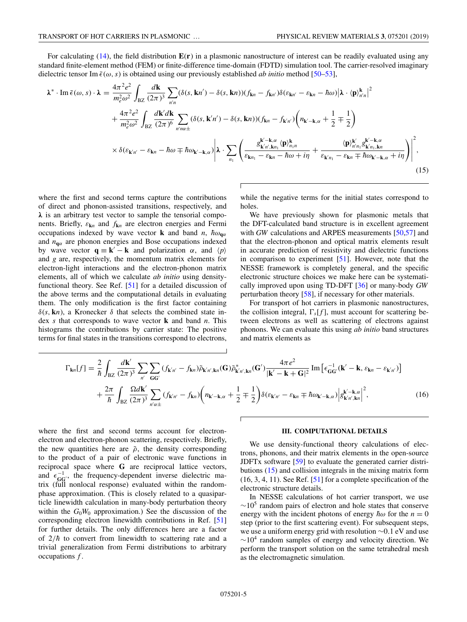<span id="page-4-0"></span>For calculating [\(14\)](#page-3-0), the field distribution **E**(**r**) in a plasmonic nanostructure of interest can be readily evaluated using any standard finite-element method (FEM) or finite-difference time-domain (FDTD) simulation tool. The carrier-resolved imaginary dielectric tensor Im  $\bar{\epsilon}(\omega, s)$  is obtained using our previously established *ab initio* method [\[50–53\]](#page-9-0),

$$
\lambda^* \cdot \text{Im } \bar{\epsilon}(\omega, s) \cdot \lambda = \frac{4\pi^2 e^2}{m_e^2 \omega^2} \int_{\text{BZ}} \frac{d\mathbf{k}}{(2\pi)^3} \sum_{n'n} (\delta(s, \mathbf{k}n') - \delta(s, \mathbf{k}n)) (f_{\mathbf{k}n} - f_{\mathbf{k}n'}) \delta(\varepsilon_{\mathbf{k}n'} - \varepsilon_{\mathbf{k}n} - \hbar \omega) |\lambda \cdot \langle \mathbf{p} \rangle_{n'n}^{\mathbf{k}}|^2 + \frac{4\pi^2 e^2}{m_e^2 \omega^2} \int_{\text{BZ}} \frac{d\mathbf{k}' d\mathbf{k}}{(2\pi)^6} \sum_{n'n\alpha \pm} (\delta(s, \mathbf{k}'n') - \delta(s, \mathbf{k}n)) (f_{\mathbf{k}n} - f_{\mathbf{k}'n'}) \left( n_{\mathbf{k}'-\mathbf{k},\alpha} + \frac{1}{2} \mp \frac{1}{2} \right) \times \delta(\varepsilon_{\mathbf{k}'n'} - \varepsilon_{\mathbf{k}n} - \hbar \omega \mp \hbar \omega_{\mathbf{k}'-\mathbf{k},\alpha}) \left| \lambda \cdot \sum_{n_1} \left( \frac{g_{\mathbf{k}'n',\mathbf{k}n}^{k'-\mathbf{k},\alpha} \langle \mathbf{p} \rangle_{n_1n}^{\mathbf{k}}}{\varepsilon_{\mathbf{k}n_1} - \varepsilon_{\mathbf{k}n} - \hbar \omega + i\eta} + \frac{\langle \mathbf{p} \rangle_{n'n}^{k'} g_{\mathbf{k}'n',\mathbf{k}n}^{k'-\mathbf{k},\alpha}}{\varepsilon_{\mathbf{k}'n_1} - \varepsilon_{\mathbf{k}n} + \hbar \omega_{\mathbf{k}'-\mathbf{k},\alpha} + i\eta} \right) \right|^2, \tag{15}
$$

where the first and second terms capture the contributions of direct and phonon-assisted transitions, respectively, and *λ* is an arbitrary test vector to sample the tensorial components. Briefly, ε**k***<sup>n</sup>* and *f***k***<sup>n</sup>* are electron energies and Fermi occupations indexed by wave vector **k** and band *n*,  $\hbar \omega_{\mathbf{q}\alpha}$ and  $n_{\mathbf{q}\alpha}$  are phonon energies and Bose occupations indexed by wave vector  $\mathbf{q} = \mathbf{k}' - \mathbf{k}$  and polarization  $\alpha$ , and  $\langle p \rangle$ and *g* are, respectively, the momentum matrix elements for electron-light interactions and the electron-phonon matrix elements, all of which we calculate *ab initio* using densityfunctional theory. See Ref. [\[51\]](#page-9-0) for a detailed discussion of the above terms and the computational details in evaluating them. The only modification is the first factor containing  $\delta(s, \mathbf{k}n)$ , a Kronecker  $\delta$  that selects the combined state index *s* that corresponds to wave vector **k** and band *n*. This histograms the contributions by carrier state: The positive terms for final states in the transitions correspond to electrons,

while the negative terms for the initial states correspond to holes.

We have previously shown for plasmonic metals that the DFT-calculated band structure is in excellent agreement with *GW* calculations and ARPES measurements [\[50,57\]](#page-9-0) and that the electron-phonon and optical matrix elements result in accurate prediction of resistivity and dielectric functions in comparison to experiment [\[51\]](#page-9-0). However, note that the NESSE framework is completely general, and the specific electronic structure choices we make here can be systematically improved upon using TD-DFT [\[36\]](#page-8-0) or many-body *GW* perturbation theory [\[58\]](#page-9-0), if necessary for other materials.

For transport of hot carriers in plasmonic nanostructures, the collision integral,  $\Gamma_s[f]$ , must account for scattering between electrons as well as scattering of electrons against phonons. We can evaluate this using *ab initio* band structures and matrix elements as

$$
\Gamma_{\mathbf{k}n}[f] = \frac{2}{\hbar} \int_{\text{BZ}} \frac{d\mathbf{k}'}{(2\pi)^3} \sum_{n'} \sum_{\mathbf{G}\mathbf{G}'} (f_{\mathbf{k}'n'} - f_{\mathbf{k}n}) \tilde{\rho}_{\mathbf{k}'n',\mathbf{k}n}(\mathbf{G}) \tilde{\rho}_{\mathbf{k}'n',\mathbf{k}n}^*(\mathbf{G}') \frac{4\pi e^2}{|\mathbf{k}' - \mathbf{k} + \mathbf{G}|^2} \operatorname{Im} \left[ \epsilon_{\mathbf{G}\mathbf{G}'}^{-1} (\mathbf{k}' - \mathbf{k}, \epsilon_{\mathbf{k}n} - \epsilon_{\mathbf{k}'n'}) \right] + \frac{2\pi}{\hbar} \int_{\text{BZ}} \frac{\Omega d\mathbf{k}'}{(2\pi)^3} \sum_{n'\alpha \pm} (f_{\mathbf{k}'n'} - f_{\mathbf{k}n}) \left( n_{\mathbf{k}' - \mathbf{k},\alpha} + \frac{1}{2} \mp \frac{1}{2} \right) \delta(\epsilon_{\mathbf{k}'n'} - \epsilon_{\mathbf{k}n} \mp \hbar \omega_{\mathbf{k}' - \mathbf{k},\alpha}) \left| g_{\mathbf{k}'n',\mathbf{k}n}^{k' - \mathbf{k},\alpha} \right|^2, \tag{16}
$$

where the first and second terms account for electronelectron and electron-phonon scattering, respectively. Briefly, the new quantities here are  $\tilde{\rho}$ , the density corresponding to the product of a pair of electronic wave functions in reciprocal space where **G** are reciprocal lattice vectors, and  $\epsilon_{GG'}^{-1}$ , the frequency-dependent inverse dielectric matrix (full nonlocal response) evaluated within the randomphase approximation. (This is closely related to a quasiparticle linewidth calculation in many-body perturbation theory within the  $G_0W_0$  approximation.) See the discussion of the corresponding electron linewidth contributions in Ref. [\[51\]](#page-9-0) for further details. The only differences here are a factor of  $2/\hbar$  to convert from linewidth to scattering rate and a trivial generalization from Fermi distributions to arbitrary occupations *f* .

#### **III. COMPUTATIONAL DETAILS**

We use density-functional theory calculations of electrons, phonons, and their matrix elements in the open-source JDFTx software [\[59\]](#page-9-0) to evaluate the generated carrier distributions (15) and collision integrals in the mixing matrix form  $(16, 3, 4, 11)$ . See Ref. [\[51\]](#page-9-0) for a complete specification of the electronic structure details.

In NESSE calculations of hot carrier transport, we use  $\sim$ 10<sup>5</sup> random pairs of electron and hole states that conserve energy with the incident photons of energy  $\hbar \omega$  for the  $n = 0$ step (prior to the first scattering event). For subsequent steps, we use a uniform energy grid with resolution ∼0.1 eV and use  $\sim$ 10<sup>4</sup> random samples of energy and velocity direction. We perform the transport solution on the same tetrahedral mesh as the electromagnetic simulation.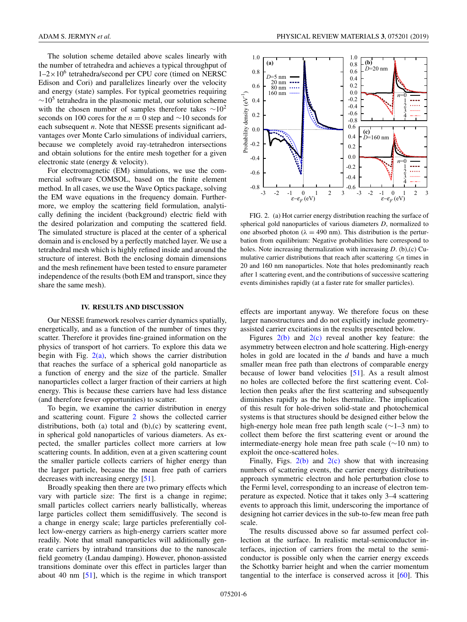<span id="page-5-0"></span>The solution scheme detailed above scales linearly with the number of tetrahedra and achieves a typical throughput of  $1-2\times10^6$  tetrahedra/second per CPU core (timed on NERSC Edison and Cori) and parallelizes linearly over the velocity and energy (state) samples. For typical geometries requiring  $\sim$ 10<sup>5</sup> tetrahedra in the plasmonic metal, our solution scheme with the chosen number of samples therefore takes  $\sim 10^2$ seconds on 100 cores for the *n* = 0 step and ∼10 seconds for each subsequent *n*. Note that NESSE presents significant advantages over Monte Carlo simulations of individual carriers, because we completely avoid ray-tetrahedron intersections and obtain solutions for the entire mesh together for a given electronic state (energy & velocity).

For electromagnetic (EM) simulations, we use the commercial software COMSOL, based on the finite element method. In all cases, we use the Wave Optics package, solving the EM wave equations in the frequency domain. Furthermore, we employ the scattering field formulation, analytically defining the incident (background) electric field with the desired polarization and computing the scattered field. The simulated structure is placed at the center of a spherical domain and is enclosed by a perfectly matched layer. We use a tetrahedral mesh which is highly refined inside and around the structure of interest. Both the enclosing domain dimensions and the mesh refinement have been tested to ensure parameter independence of the results (both EM and transport, since they share the same mesh).

### **IV. RESULTS AND DISCUSSION**

Our NESSE framework resolves carrier dynamics spatially, energetically, and as a function of the number of times they scatter. Therefore it provides fine-grained information on the physics of transport of hot carriers. To explore this data we begin with Fig.  $2(a)$ , which shows the carrier distribution that reaches the surface of a spherical gold nanoparticle as a function of energy and the size of the particle. Smaller nanoparticles collect a larger fraction of their carriers at high energy. This is because these carriers have had less distance (and therefore fewer opportunities) to scatter.

To begin, we examine the carrier distribution in energy and scattering count. Figure 2 shows the collected carrier distributions, both (a) total and (b),(c) by scattering event, in spherical gold nanoparticles of various diameters. As expected, the smaller particles collect more carriers at low scattering counts. In addition, even at a given scattering count the smaller particle collects carriers of higher energy than the larger particle, because the mean free path of carriers decreases with increasing energy [\[51\]](#page-9-0).

Broadly speaking then there are two primary effects which vary with particle size: The first is a change in regime; small particles collect carriers nearly ballistically, whereas large particles collect them semidiffusively. The second is a change in energy scale; large particles preferentially collect low-energy carriers as high-energy carriers scatter more readily. Note that small nanoparticles will additionally generate carriers by intraband transitions due to the nanoscale field geometry (Landau damping). However, phonon-assisted transitions dominate over this effect in particles larger than about 40 nm [\[51\]](#page-9-0), which is the regime in which transport



FIG. 2. (a) Hot carrier energy distribution reaching the surface of spherical gold nanoparticles of various diameters *D*, normalized to one absorbed photon ( $\lambda = 490$  nm). This distribution is the perturbation from equilibrium: Negative probabilities here correspond to holes. Note increasing thermalization with increasing *D*. (b),(c) Cumulative carrier distributions that reach after scattering  $\leq n$  times in 20 and 160 nm nanoparticles. Note that holes predominantly reach after 1 scattering event, and the contributions of successive scattering events diminishes rapidly (at a faster rate for smaller particles).

effects are important anyway. We therefore focus on these larger nanostructures and do not explicitly include geometryassisted carrier excitations in the results presented below.

Figures  $2(b)$  and  $2(c)$  reveal another key feature: the asymmetry between electron and hole scattering. High-energy holes in gold are located in the *d* bands and have a much smaller mean free path than electrons of comparable energy because of lower band velocities [\[51\]](#page-9-0). As a result almost no holes are collected before the first scattering event. Collection then peaks after the first scattering and subsequently diminishes rapidly as the holes thermalize. The implication of this result for hole-driven solid-state and photochemical systems is that structures should be designed either below the high-energy hole mean free path length scale (∼1–3 nm) to collect them before the first scattering event or around the intermediate-energy hole mean free path scale (∼10 nm) to exploit the once-scattered holes.

Finally, Figs.  $2(b)$  and  $2(c)$  show that with increasing numbers of scattering events, the carrier energy distributions approach symmetric electron and hole perturbation close to the Fermi level, corresponding to an increase of electron temperature as expected. Notice that it takes only 3–4 scattering events to approach this limit, underscoring the importance of designing hot carrier devices in the sub-to-few mean free path scale.

The results discussed above so far assumed perfect collection at the surface. In realistic metal-semiconductor interfaces, injection of carriers from the metal to the semiconductor is possible only when the carrier energy exceeds the Schottky barrier height and when the carrier momentum tangential to the interface is conserved across it  $[60]$ . This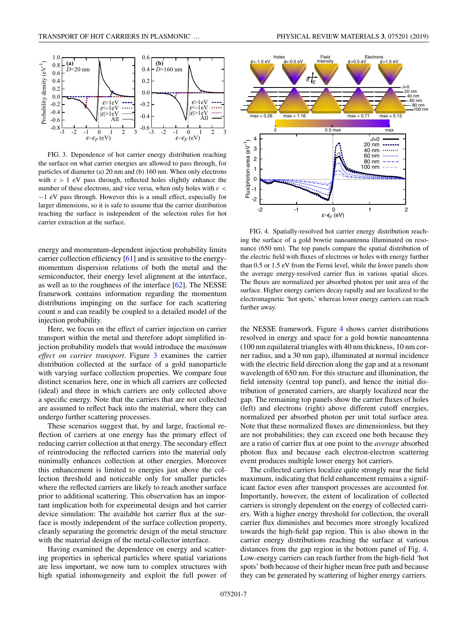

FIG. 3. Dependence of hot carrier energy distribution reaching the surface on what carrier energies are allowed to pass through, for particles of diameter (a) 20 nm and (b) 160 nm. When only electrons with  $\epsilon > 1$  eV pass through, reflected holes slightly enhance the number of these electrons, and vice versa, when only holes with  $\varepsilon$  < −1 eV pass through. However this is a small effect, especially for larger dimensions, so it is safe to assume that the carrier distribution reaching the surface is independent of the selection rules for hot carrier extraction at the surface.

energy and momentum-dependent injection probability limits carrier collection efficiency [\[61\]](#page-9-0) and is sensitive to the energymomentum dispersion relations of both the metal and the semiconductor, their energy level alignment at the interface, as well as to the roughness of the interface [\[62\]](#page-9-0). The NESSE framework contains information regarding the momentum distributions impinging on the surface for each scattering count *n* and can readily be coupled to a detailed model of the injection probability.

Here, we focus on the effect of carrier injection on carrier transport within the metal and therefore adopt simplified injection probability models that would introduce the *maximum effect on carrier transport*. Figure 3 examines the carrier distribution collected at the surface of a gold nanoparticle with varying surface collection properties. We compare four distinct scenarios here, one in which all carriers are collected (ideal) and three in which carriers are only collected above a specific energy. Note that the carriers that are not collected are assumed to reflect back into the material, where they can undergo further scattering processes.

These scenarios suggest that, by and large, fractional reflection of carriers at one energy has the primary effect of reducing carrier collection at that energy. The secondary effect of reintroducing the reflected carriers into the material only minimally enhances collection at other energies. Moreover this enhancement is limited to energies just above the collection threshold and noticeable only for smaller particles where the reflected carriers are likely to reach another surface prior to additional scattering. This observation has an important implication both for experimental design and hot carrier device simulation: The available hot carrier flux at the surface is mostly independent of the surface collection property, cleanly separating the geometric design of the metal structure with the material design of the metal-collector interface.

Having examined the dependence on energy and scattering properties in spherical particles where spatial variations are less important, we now turn to complex structures with high spatial inhomogeneity and exploit the full power of



FIG. 4. Spatially-resolved hot carrier energy distribution reaching the surface of a gold bowtie nanoantenna illuminated on resonance (650 nm). The top panels compare the spatial distribution of the electric field with fluxes of electrons or holes with energy further than 0.5 or 1.5 eV from the Fermi level, while the lower panels show the average energy-resolved carrier flux in various spatial slices. The fluxes are normalized per absorbed photon per unit area of the surface. Higher energy carriers decay rapidly and are localized to the electromagnetic 'hot spots,' whereas lower energy carriers can reach further away.

the NESSE framework. Figure 4 shows carrier distributions resolved in energy and space for a gold bowtie nanoantenna (100 nm equilateral triangles with 40 nm thickness, 10 nm corner radius, and a 30 nm gap), illuminated at normal incidence with the electric field direction along the gap and at a resonant wavelength of 650 nm. For this structure and illumination, the field intensity (central top panel), and hence the initial distribution of generated carriers, are sharply localized near the gap. The remaining top panels show the carrier fluxes of holes (left) and electrons (right) above different cutoff energies, normalized per absorbed photon per unit total surface area. Note that these normalized fluxes are dimensionless, but they are not probabilities; they can exceed one both because they are a ratio of carrier flux at one point to the *average* absorbed photon flux and because each electron-electron scattering event produces multiple lower energy hot carriers.

The collected carriers localize quite strongly near the field maximum, indicating that field enhancement remains a significant factor even after transport processes are accounted for. Importantly, however, the extent of localization of collected carriers is strongly dependent on the energy of collected carriers. With a higher energy threshold for collection, the overall carrier flux diminishes and becomes more strongly localized towards the high-field gap region. This is also shown in the carrier energy distributions reaching the surface at various distances from the gap region in the bottom panel of Fig. 4. Low-energy carriers can reach further from the high-field 'hot spots' both because of their higher mean free path and because they can be generated by scattering of higher energy carriers.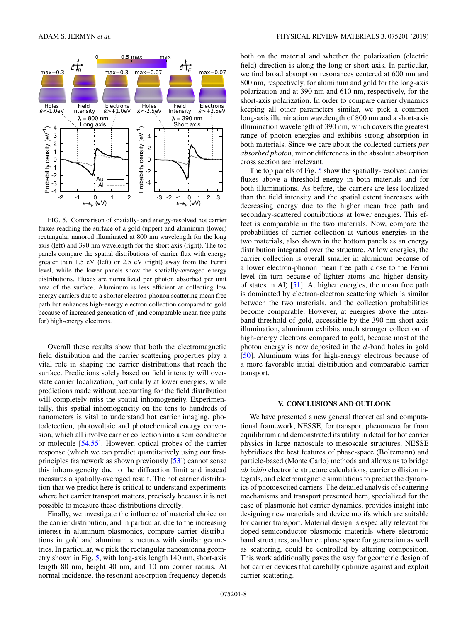

FIG. 5. Comparison of spatially- and energy-resolved hot carrier fluxes reaching the surface of a gold (upper) and aluminum (lower) rectangular nanorod illuminated at 800 nm wavelength for the long axis (left) and 390 nm wavelength for the short axis (right). The top panels compare the spatial distributions of carrier flux with energy greater than 1.5 eV (left) or 2.5 eV (right) away from the Fermi level, while the lower panels show the spatially-averaged energy distributions. Fluxes are normalized per photon absorbed per unit area of the surface. Aluminum is less efficient at collecting low energy carriers due to a shorter electron-phonon scattering mean free path but enhances high-energy electron collection compared to gold because of increased generation of (and comparable mean free paths for) high-energy electrons.

Overall these results show that both the electromagnetic field distribution and the carrier scattering properties play a vital role in shaping the carrier distributions that reach the surface. Predictions solely based on field intensity will overstate carrier localization, particularly at lower energies, while predictions made without accounting for the field distribution will completely miss the spatial inhomogeneity. Experimentally, this spatial inhomogeneity on the tens to hundreds of nanometers is vital to understand hot carrier imaging, photodetection, photovoltaic and photochemical energy conversion, which all involve carrier collection into a semiconductor or molecule [\[54,55\]](#page-9-0). However, optical probes of the carrier response (which we can predict quantitatively using our firstprinciples framework as shown previously [\[53\]](#page-9-0)) cannot sense this inhomogeneity due to the diffraction limit and instead measures a spatially-averaged result. The hot carrier distribution that we predict here is critical to understand experiments where hot carrier transport matters, precisely because it is not possible to measure these distributions directly.

Finally, we investigate the influence of material choice on the carrier distribution, and in particular, due to the increasing interest in aluminum plasmonics, compare carrier distributions in gold and aluminum structures with similar geometries. In particular, we pick the rectangular nanoantenna geometry shown in Fig. 5, with long-axis length 140 nm, short-axis length 80 nm, height 40 nm, and 10 nm corner radius. At normal incidence, the resonant absorption frequency depends both on the material and whether the polarization (electric field) direction is along the long or short axis. In particular, we find broad absorption resonances centered at 600 nm and 800 nm, respectively, for aluminum and gold for the long-axis polarization and at 390 nm and 610 nm, respectively, for the short-axis polarization. In order to compare carrier dynamics keeping all other parameters similar, we pick a common long-axis illumination wavelength of 800 nm and a short-axis illumination wavelength of 390 nm, which covers the greatest range of photon energies and exhibits strong absorption in both materials. Since we care about the collected carriers *per absorbed photon*, minor differences in the absolute absorption cross section are irrelevant.

The top panels of Fig. 5 show the spatially-resolved carrier fluxes above a threshold energy in both materials and for both illuminations. As before, the carriers are less localized than the field intensity and the spatial extent increases with decreasing energy due to the higher mean free path and secondary-scattered contributions at lower energies. This effect is comparable in the two materials. Now, compare the probabilities of carrier collection at various energies in the two materials, also shown in the bottom panels as an energy distribution integrated over the structure. At low energies, the carrier collection is overall smaller in aluminum because of a lower electron-phonon mean free path close to the Fermi level (in turn because of lighter atoms and higher density of states in Al) [\[51\]](#page-9-0). At higher energies, the mean free path is dominated by electron-electron scattering which is similar between the two materials, and the collection probabilities become comparable. However, at energies above the interband threshold of gold, accessible by the 390 nm short-axis illumination, aluminum exhibits much stronger collection of high-energy electrons compared to gold, because most of the photon energy is now deposited in the *d*-band holes in gold [\[50\]](#page-9-0). Aluminum wins for high-energy electrons because of a more favorable initial distribution and comparable carrier transport.

#### **V. CONCLUSIONS AND OUTLOOK**

We have presented a new general theoretical and computational framework, NESSE, for transport phenomena far from equilibrium and demonstrated its utility in detail for hot carrier physics in large nanoscale to mesoscale structures. NESSE hybridizes the best features of phase-space (Boltzmann) and particle-based (Monte Carlo) methods and allows us to bridge *ab initio* electronic structure calculations, carrier collision integrals, and electromagnetic simulations to predict the dynamics of photoexcited carriers. The detailed analysis of scattering mechanisms and transport presented here, specialized for the case of plasmonic hot carrier dynamics, provides insight into designing new materials and device motifs which are suitable for carrier transport. Material design is especially relevant for doped-semiconductor plasmonic materials where electronic band structures, and hence phase space for generation as well as scattering, could be controlled by altering composition. This work additionally paves the way for geometric design of hot carrier devices that carefully optimize against and exploit carrier scattering.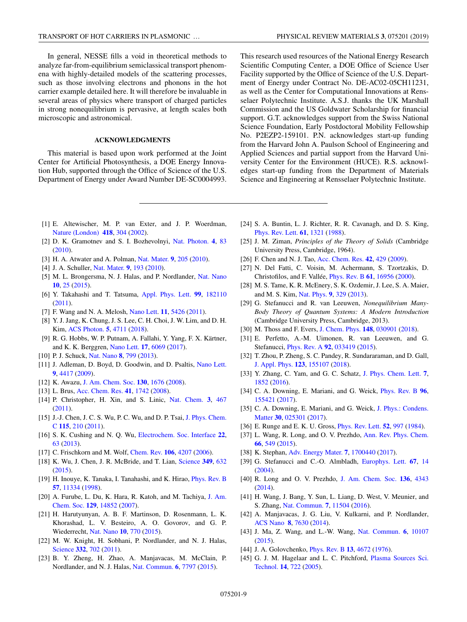<span id="page-8-0"></span>In general, NESSE fills a void in theoretical methods to analyze far-from-equilibrium semiclassical transport phenomena with highly-detailed models of the scattering processes, such as those involving electrons and phonons in the hot carrier example detailed here. It will therefore be invaluable in several areas of physics where transport of charged particles in strong nonequilibrium is pervasive, at length scales both microscopic and astronomical.

## **ACKNOWLEDGMENTS**

This material is based upon work performed at the Joint Center for Artificial Photosynthesis, a DOE Energy Innovation Hub, supported through the Office of Science of the U.S. Department of Energy under Award Number DE-SC0004993.

This research used resources of the National Energy Research Scientific Computing Center, a DOE Office of Science User Facility supported by the Office of Science of the U.S. Department of Energy under Contract No. DE-AC02-05CH11231, as well as the Center for Computational Innovations at Rensselaer Polytechnic Institute. A.S.J. thanks the UK Marshall Commission and the US Goldwater Scholarship for financial support. G.T. acknowledges support from the Swiss National Science Foundation, Early Postdoctoral Mobility Fellowship No. P2EZP2-159101. P.N. acknowledges start-up funding from the Harvard John A. Paulson School of Engineering and Applied Sciences and partial support from the Harvard University Center for the Environment (HUCE). R.S. acknowledges start-up funding from the Department of Materials Science and Engineering at Rensselaer Polytechnic Institute.

- [1] E. Altewischer, M. P. van Exter, and J. P. Woerdman, [Nature \(London\)](https://doi.org/10.1038/nature00869) **[418](https://doi.org/10.1038/nature00869)**, [304](https://doi.org/10.1038/nature00869) [\(2002\)](https://doi.org/10.1038/nature00869).
- [2] D. K. Gramotnev and S. I. Bozhevolnyi, [Nat. Photon.](https://doi.org/10.1038/nphoton.2009.282) **[4](https://doi.org/10.1038/nphoton.2009.282)**, [83](https://doi.org/10.1038/nphoton.2009.282) [\(2010\)](https://doi.org/10.1038/nphoton.2009.282).
- [3] H. A. Atwater and A. Polman, [Nat. Mater.](https://doi.org/10.1038/nmat2629) **[9](https://doi.org/10.1038/nmat2629)**, [205](https://doi.org/10.1038/nmat2629) [\(2010\)](https://doi.org/10.1038/nmat2629).
- [4] J. A. Schuller, [Nat. Mater.](https://doi.org/10.1038/nmat2630) **[9](https://doi.org/10.1038/nmat2630)**, [193](https://doi.org/10.1038/nmat2630) [\(2010\)](https://doi.org/10.1038/nmat2630).
- [5] M. L. Brongersma, N. J. Halas, and P. Nordlander, [Nat. Nano](https://doi.org/10.1038/nnano.2014.311) **[10](https://doi.org/10.1038/nnano.2014.311)**, [25](https://doi.org/10.1038/nnano.2014.311) [\(2015\)](https://doi.org/10.1038/nnano.2014.311).
- [6] Y. Takahashi and T. Tatsuma, [Appl. Phys. Lett.](https://doi.org/10.1063/1.3659476) **[99](https://doi.org/10.1063/1.3659476)**, [182110](https://doi.org/10.1063/1.3659476) [\(2011\)](https://doi.org/10.1063/1.3659476).
- [7] F. Wang and N. A. Melosh, [Nano Lett.](https://doi.org/10.1021/nl203196z) **[11](https://doi.org/10.1021/nl203196z)**, [5426](https://doi.org/10.1021/nl203196z) [\(2011\)](https://doi.org/10.1021/nl203196z).
- [8] Y. J. Jang, K. Chung, J. S. Lee, C. H. Choi, J. W. Lim, and D. H. Kim, [ACS Photon.](https://doi.org/10.1021/acsphotonics.8b01021) **[5](https://doi.org/10.1021/acsphotonics.8b01021)**, [4711](https://doi.org/10.1021/acsphotonics.8b01021) [\(2018\)](https://doi.org/10.1021/acsphotonics.8b01021).
- [9] R. G. Hobbs, W. P. Putnam, A. Fallahi, Y. Yang, F. X. Kärtner, and K. K. Berggren, [Nano Lett.](https://doi.org/10.1021/acs.nanolett.7b02495) **[17](https://doi.org/10.1021/acs.nanolett.7b02495)**, [6069](https://doi.org/10.1021/acs.nanolett.7b02495) [\(2017\)](https://doi.org/10.1021/acs.nanolett.7b02495).
- [10] P. J. Schuck, [Nat. Nano](https://doi.org/10.1038/nnano.2013.228) **[8](https://doi.org/10.1038/nnano.2013.228)**, [799](https://doi.org/10.1038/nnano.2013.228) [\(2013\)](https://doi.org/10.1038/nnano.2013.228).
- [11] J. Adleman, D. Boyd, D. Goodwin, and D. Psaltis, [Nano Lett.](https://doi.org/10.1021/nl902711n) **[9](https://doi.org/10.1021/nl902711n)**, [4417](https://doi.org/10.1021/nl902711n) [\(2009\)](https://doi.org/10.1021/nl902711n).
- [12] K. Awazu, [J. Am. Chem. Soc.](https://doi.org/10.1021/ja076503n) **[130](https://doi.org/10.1021/ja076503n)**, [1676](https://doi.org/10.1021/ja076503n) [\(2008\)](https://doi.org/10.1021/ja076503n).
- [13] L. Brus, [Acc. Chem. Res.](https://doi.org/10.1021/ar800121r) **[41](https://doi.org/10.1021/ar800121r)**, [1742](https://doi.org/10.1021/ar800121r) [\(2008\)](https://doi.org/10.1021/ar800121r).
- [14] P. Christopher, H. Xin, and S. Linic, [Nat. Chem.](https://doi.org/10.1038/nchem.1032) **[3](https://doi.org/10.1038/nchem.1032)**, [467](https://doi.org/10.1038/nchem.1032) [\(2011\)](https://doi.org/10.1038/nchem.1032).
- [15] [J.-J. Chen, J. C. S. Wu, P. C. Wu, and D. P. Tsai,](https://doi.org/10.1021/jp1074048) J. Phys. Chem. C **[115](https://doi.org/10.1021/jp1074048)**, [210](https://doi.org/10.1021/jp1074048) [\(2011\)](https://doi.org/10.1021/jp1074048).
- [16] S. K. Cushing and N. Q. Wu, [Electrochem. Soc. Interface](https://doi.org/10.1149/2.F08132if) **[22](https://doi.org/10.1149/2.F08132if)**, [63](https://doi.org/10.1149/2.F08132if) [\(2013\)](https://doi.org/10.1149/2.F08132if).
- [17] C. Frischkorn and M. Wolf, [Chem. Rev.](https://doi.org/10.1021/cr050161r) **[106](https://doi.org/10.1021/cr050161r)**, [4207](https://doi.org/10.1021/cr050161r) [\(2006\)](https://doi.org/10.1021/cr050161r).
- [18] K. Wu, J. Chen, J. R. McBride, and T. Lian, [Science](https://doi.org/10.1126/science.aac5443) **[349](https://doi.org/10.1126/science.aac5443)**, [632](https://doi.org/10.1126/science.aac5443) [\(2015\)](https://doi.org/10.1126/science.aac5443).
- [19] H. Inouye, K. Tanaka, I. Tanahashi, and K. Hirao, *[Phys. Rev. B](https://doi.org/10.1103/PhysRevB.57.11334)* **[57](https://doi.org/10.1103/PhysRevB.57.11334)**, [11334](https://doi.org/10.1103/PhysRevB.57.11334) [\(1998\)](https://doi.org/10.1103/PhysRevB.57.11334).
- [20] [A. Furube, L. Du, K. Hara, R. Katoh, and M. Tachiya,](https://doi.org/10.1021/ja076134v) J. Am. Chem. Soc. **[129](https://doi.org/10.1021/ja076134v)**, [14852](https://doi.org/10.1021/ja076134v) [\(2007\)](https://doi.org/10.1021/ja076134v).
- [21] H. Harutyunyan, A. B. F. Martinson, D. Rosenmann, L. K. Khorashad, L. V. Besteiro, A. O. Govorov, and G. P. Wiederrecht, [Nat. Nano](https://doi.org/10.1038/nnano.2015.165) **[10](https://doi.org/10.1038/nnano.2015.165)**, [770](https://doi.org/10.1038/nnano.2015.165) [\(2015\)](https://doi.org/10.1038/nnano.2015.165).
- [22] M. W. Knight, H. Sobhani, P. Nordlander, and N. J. Halas, [Science](https://doi.org/10.1126/science.1203056) **[332](https://doi.org/10.1126/science.1203056)**, [702](https://doi.org/10.1126/science.1203056) [\(2011\)](https://doi.org/10.1126/science.1203056).
- [23] B. Y. Zheng, H. Zhao, A. Manjavacas, M. McClain, P. Nordlander, and N. J. Halas, [Nat. Commun.](https://doi.org/10.1038/ncomms8797) **[6](https://doi.org/10.1038/ncomms8797)**, [7797](https://doi.org/10.1038/ncomms8797) [\(2015\)](https://doi.org/10.1038/ncomms8797).
- [24] S. A. Buntin, L. J. Richter, R. R. Cavanagh, and D. S. King, [Phys. Rev. Lett.](https://doi.org/10.1103/PhysRevLett.61.1321) **[61](https://doi.org/10.1103/PhysRevLett.61.1321)**, [1321](https://doi.org/10.1103/PhysRevLett.61.1321) [\(1988\)](https://doi.org/10.1103/PhysRevLett.61.1321).
- [25] J. M. Ziman, *Principles of the Theory of Solids* (Cambridge University Press, Cambridge, 1964).
- [26] F. Chen and N. J. Tao, [Acc. Chem. Res.](https://doi.org/10.1021/ar800199a) **[42](https://doi.org/10.1021/ar800199a)**, [429](https://doi.org/10.1021/ar800199a) [\(2009\)](https://doi.org/10.1021/ar800199a).
- [27] N. Del Fatti, C. Voisin, M. Achermann, S. Tzortzakis, D. Christofilos, and F. Vallée, [Phys. Rev. B](https://doi.org/10.1103/PhysRevB.61.16956) **[61](https://doi.org/10.1103/PhysRevB.61.16956)**, [16956](https://doi.org/10.1103/PhysRevB.61.16956) [\(2000\)](https://doi.org/10.1103/PhysRevB.61.16956).
- [28] M. S. Tame, K. R. McEnery, S. K. Ozdemir, J. Lee, S. A. Maier, and M. S. Kim, [Nat. Phys.](https://doi.org/10.1038/nphys2615) **[9](https://doi.org/10.1038/nphys2615)**, [329](https://doi.org/10.1038/nphys2615) [\(2013\)](https://doi.org/10.1038/nphys2615).
- [29] G. Stefanucci and R. van Leeuwen, *Nonequilibrium Many-Body Theory of Quantum Systems: A Modern Introduction* (Cambridge University Press, Cambridge, 2013).
- [30] M. Thoss and F. Evers, [J. Chem. Phys.](https://doi.org/10.1063/1.5003306) **[148](https://doi.org/10.1063/1.5003306)**, [030901](https://doi.org/10.1063/1.5003306) [\(2018\)](https://doi.org/10.1063/1.5003306).
- [31] E. Perfetto, A.-M. Uimonen, R. van Leeuwen, and G. Stefanucci, [Phys. Rev. A](https://doi.org/10.1103/PhysRevA.92.033419) **[92](https://doi.org/10.1103/PhysRevA.92.033419)**, [033419](https://doi.org/10.1103/PhysRevA.92.033419) [\(2015\)](https://doi.org/10.1103/PhysRevA.92.033419).
- [32] T. Zhou, P. Zheng, S. C. Pandey, R. Sundararaman, and D. Gall, [J. Appl. Phys.](https://doi.org/10.1063/1.5020577) **[123](https://doi.org/10.1063/1.5020577)**, [155107](https://doi.org/10.1063/1.5020577) [\(2018\)](https://doi.org/10.1063/1.5020577).
- [33] Y. Zhang, C. Yam, and G. C. Schatz, [J. Phys. Chem. Lett.](https://doi.org/10.1021/acs.jpclett.6b00879) **[7](https://doi.org/10.1021/acs.jpclett.6b00879)**, [1852](https://doi.org/10.1021/acs.jpclett.6b00879) [\(2016\)](https://doi.org/10.1021/acs.jpclett.6b00879).
- [34] C. A. Downing, E. Mariani, and G. Weick, [Phys. Rev. B](https://doi.org/10.1103/PhysRevB.96.155421) **[96](https://doi.org/10.1103/PhysRevB.96.155421)**, [155421](https://doi.org/10.1103/PhysRevB.96.155421) [\(2017\)](https://doi.org/10.1103/PhysRevB.96.155421).
- [35] [C. A. Downing, E. Mariani, and G. Weick,](https://doi.org/10.1088/1361-648X/aa9d59) J. Phys.: Condens. Matter **[30](https://doi.org/10.1088/1361-648X/aa9d59)**, [025301](https://doi.org/10.1088/1361-648X/aa9d59) [\(2017\)](https://doi.org/10.1088/1361-648X/aa9d59).
- [36] E. Runge and E. K. U. Gross, [Phys. Rev. Lett.](https://doi.org/10.1103/PhysRevLett.52.997) **[52](https://doi.org/10.1103/PhysRevLett.52.997)**, [997](https://doi.org/10.1103/PhysRevLett.52.997) [\(1984\)](https://doi.org/10.1103/PhysRevLett.52.997).
- [37] L. Wang, R. Long, and O. V. Prezhdo, [Ann. Rev. Phys. Chem.](https://doi.org/10.1146/annurev-physchem-040214-121359) **[66](https://doi.org/10.1146/annurev-physchem-040214-121359)**, [549](https://doi.org/10.1146/annurev-physchem-040214-121359) [\(2015\)](https://doi.org/10.1146/annurev-physchem-040214-121359).
- [38] K. Stephan, [Adv. Energy Mater.](https://doi.org/10.1002/aenm.201700440) **[7](https://doi.org/10.1002/aenm.201700440)**, [1700440](https://doi.org/10.1002/aenm.201700440) [\(2017\)](https://doi.org/10.1002/aenm.201700440).
- [39] G. Stefanucci and C.-O. Almbladh, [Europhys. Lett.](https://doi.org/10.1209/epl/i2004-10043-7) **[67](https://doi.org/10.1209/epl/i2004-10043-7)**, [14](https://doi.org/10.1209/epl/i2004-10043-7)  $(2004)$ .
- [40] R. Long and O. V. Prezhdo, [J. Am. Chem. Soc.](https://doi.org/10.1021/ja5001592) **[136](https://doi.org/10.1021/ja5001592)**, [4343](https://doi.org/10.1021/ja5001592) [\(2014\)](https://doi.org/10.1021/ja5001592).
- [41] H. Wang, J. Bang, Y. Sun, L. Liang, D. West, V. Meunier, and S. Zhang, [Nat. Commun.](https://doi.org/10.1038/ncomms11504) **[7](https://doi.org/10.1038/ncomms11504)**, [11504](https://doi.org/10.1038/ncomms11504) [\(2016\)](https://doi.org/10.1038/ncomms11504).
- [42] A. Manjavacas, J. G. Liu, V. Kulkarni, and P. Nordlander, [ACS Nano](https://doi.org/10.1021/nn502445f) **[8](https://doi.org/10.1021/nn502445f)**, [7630](https://doi.org/10.1021/nn502445f) [\(2014\)](https://doi.org/10.1021/nn502445f).
- [43] J. Ma, Z. Wang, and L.-W. Wang, [Nat. Commun.](https://doi.org/10.1038/ncomms10107) **[6](https://doi.org/10.1038/ncomms10107)**, [10107](https://doi.org/10.1038/ncomms10107) [\(2015\)](https://doi.org/10.1038/ncomms10107).
- [44] J. A. Golovchenko, [Phys. Rev. B](https://doi.org/10.1103/PhysRevB.13.4672) **[13](https://doi.org/10.1103/PhysRevB.13.4672)**, [4672](https://doi.org/10.1103/PhysRevB.13.4672) [\(1976\)](https://doi.org/10.1103/PhysRevB.13.4672).
- [45] [G. J. M. Hagelaar and L. C. Pitchford,](https://doi.org/10.1088/0963-0252/14/4/011) Plasma Sources Sci. Technol. **[14](https://doi.org/10.1088/0963-0252/14/4/011)**, [722](https://doi.org/10.1088/0963-0252/14/4/011) [\(2005\)](https://doi.org/10.1088/0963-0252/14/4/011).